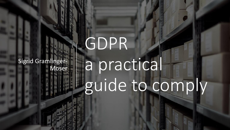Sigrid Gramlinger-Moser

# GDPR a practical guide to comply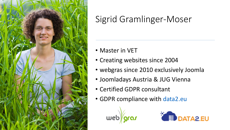

#### Sigrid Gramlinger-Moser

- Master in VET
- Creating websites since 2004
- webgras since 2010 exclusively Joomla
- Joomladays Austria & JUG Vienna
- Certified GDPR consultant
- GDPR compliance with [data2.eu](https://data2.eu/)



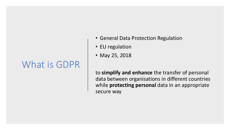#### What is GDPR

- General Data Protection Regulation
- EU regulation
- May 25, 2018

to **simplify and enhance** the transfer of personal data between organisations in different countries while **protecting personal** data in an appropriate secure way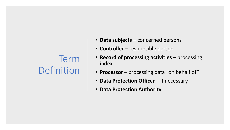#### Term Definition

- **Data subjects** concerned persons
- **Controller** responsible person
- **Record of processing activities** processing index
- **Processor** processing data "on behalf of"
- **Data Protection Officer** if necessary
- **Data Protection Authority**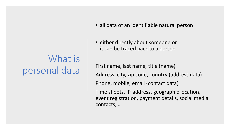# What is personal data

- all data of an identifiable natural person
- either directly about someone or it can be traced back to a person

First name, last name, title (name) Address, city, zip code, country (address data) Phone, mobile, email (contact data) Time sheets, IP-address, geographic location, event registration, payment details, social media contacts, …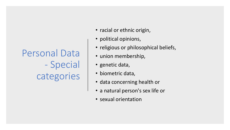Personal Data - Special categories

- racial or ethnic origin,
- political opinions,
- religious or philosophical beliefs,
- union membership,
- genetic data,
- biometric data,
- data concerning health or
- a natural person's sex life or
- sexual orientation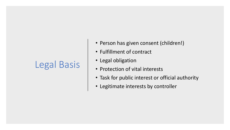# Legal Basis

- Person has given consent (children!)
- Fulfillment of contract
- Legal obligation
- Protection of vital interests
- Task for public interest or official authority
- Legitimate interests by controller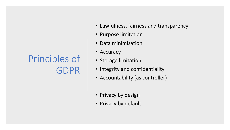## Principles of GDPR

- Lawfulness, fairness and transparency
- Purpose limitation
- Data minimisation
- Accuracy
- Storage limitation
- Integrity and confidentiality
- Accountability (as controller)
- Privacy by design
- Privacy by default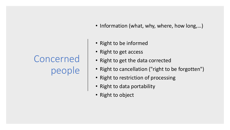# Concerned people

- Information (what, why, where, how long,...)
- Right to be informed
- Right to get access
- Right to get the data corrected
- Right to cancellation ("right to be forgotten")
- Right to restriction of processing
- Right to data portability
- Right to object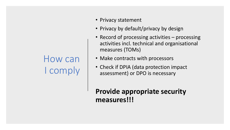## How can I comply

- Privacy statement
- Privacy by default/privacy by design
- Record of processing activities processing activities incl. technical and organisational measures (TOMs)
- Make contracts with processors
- Check if DPIA (data protection impact assessment) or DPO is necessary

**Provide appropriate security measures!!!**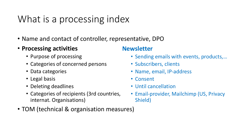# What is a processing index

- Name and contact of controller, representative, DPO
- **Processing activities**
	- Purpose of processing
	- Categories of concerned persons
	- Data categories
	- Legal basis
	- Deleting deadlines
	- Categories of recipients (3rd countries, internat. Organisations)

#### **Newsletter**

- Sending emails with events, products,…
- Subscribers, clients
- Name, email, IP-address
- Consent
- Until cancellation
- Email-provider, Mailchimp (US, Privacy Shield)
- TOM (technical & organisation measures)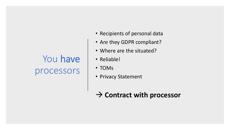## You have processors

- Recipients of personal data
- Are they GDPR compliant?
- Where are the situated?
- Reliable!
- TOMs
- Privacy Statement

#### → **Contract with processor**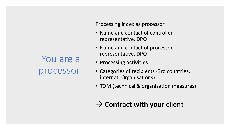#### You are a processor

Processing index as processor

- Name and contact of controller, representative, DPO
- Name and contact of processor, representative, DPO
- **Processing activities**
- Categories of recipients (3rd countries, internat. Organisations)
- TOM (technical & organisation measures)

#### → **Contract with your client**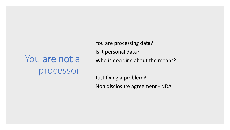# You are not a processor

You are processing data? Is it personal data? Who is deciding about the means?

Just fixing a problem? Non disclosure agreement - NDA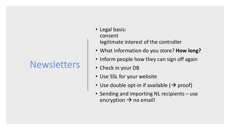#### **Newsletters**

- Legal basis: consent legitimate interest of the controller
- What information do you store? **How long?**
- Inform people how they can sign off again
- Check in your DB
- Use SSL for your website
- Use double opt-in if available  $(\rightarrow$  proof)
- Sending and importing NL recipients use encryption  $\rightarrow$  no email!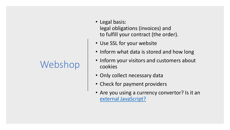# Webshop

- Legal basis: legal obligations (invoices) and to fulfill your contract (the order).
- Use SSL for your website
- Inform what data is stored and how long
- Inform your visitors and customers about cookies
- Only collect necessary data
- Check for payment providers
- Are you using a currency convertor? Is it an [external JavaScript?](https://data2.eu/en/gdpr-tips/87-external-resources-fonts-javascript-css)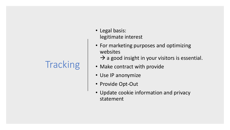# **Tracking**

- Legal basis: legitimate interest
- For marketing purposes and optimizing websites
	- $\rightarrow$  a good insight in your visitors is essential.
- Make contract with provide
- Use IP anonymize
- Provide Opt-Out
- Update cookie information and privacy statement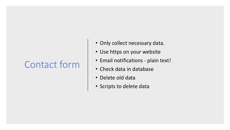#### Contact form

- Only collect necessary data.
- Use https on your website
- Email notifications plain text!
- Check data in database
- Delete old data
- Scripts to delete data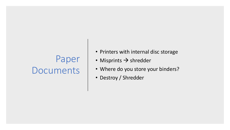## Paper Documents

- Printers with internal disc storage
- Misprints  $\rightarrow$  shredder
- Where do you store your binders?
- Destroy / Shredder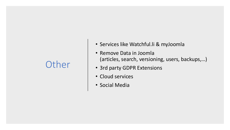#### **Other**

- Services like Watchful.li & myJoomla
- Remove Data in Joomla (articles, search, versioning, users, backups,…)
- 3rd party GDPR Extensions
- Cloud services
- Social Media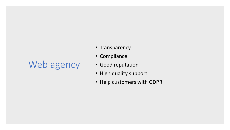#### Web agency

- Transparency
- Compliance
- Good reputation
- High quality support
- Help customers with GDPR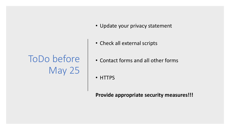# ToDo before May 25

- Update your privacy statement
- Check all external scripts
- Contact forms and all other forms
- HTTPS

**Provide appropriate security measures!!!**